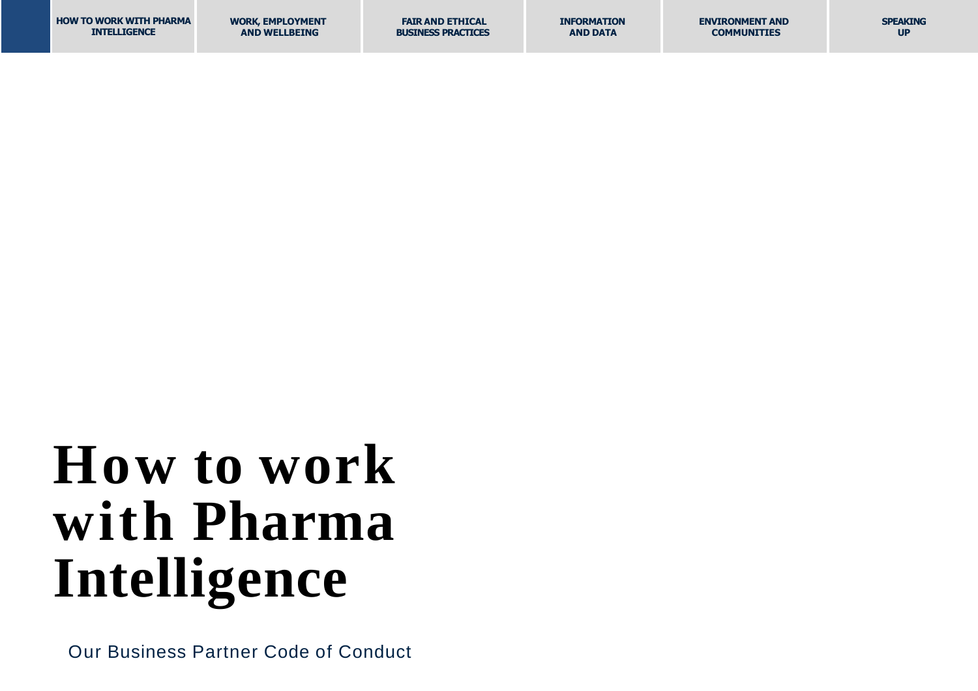| <b>HOW TO WORK WITH PHARMA</b> | <b>WORK, EMPLOYMENT</b> | <b>FAIR AND ETHICAL</b>   | <b>INFORMATION</b> | <b>ENVIRONMENT AND</b> | <b>SPEAKING</b> |
|--------------------------------|-------------------------|---------------------------|--------------------|------------------------|-----------------|
| <b>INTELLIGENCE</b>            | <b>AND WELLBEING</b>    | <b>BUSINESS PRACTICES</b> | <b>AND DATA</b>    | <b>COMMUNITIES</b>     | <b>UP</b>       |

## **How to work with Pharma Intelligence**

Our Business Partner Code of Conduct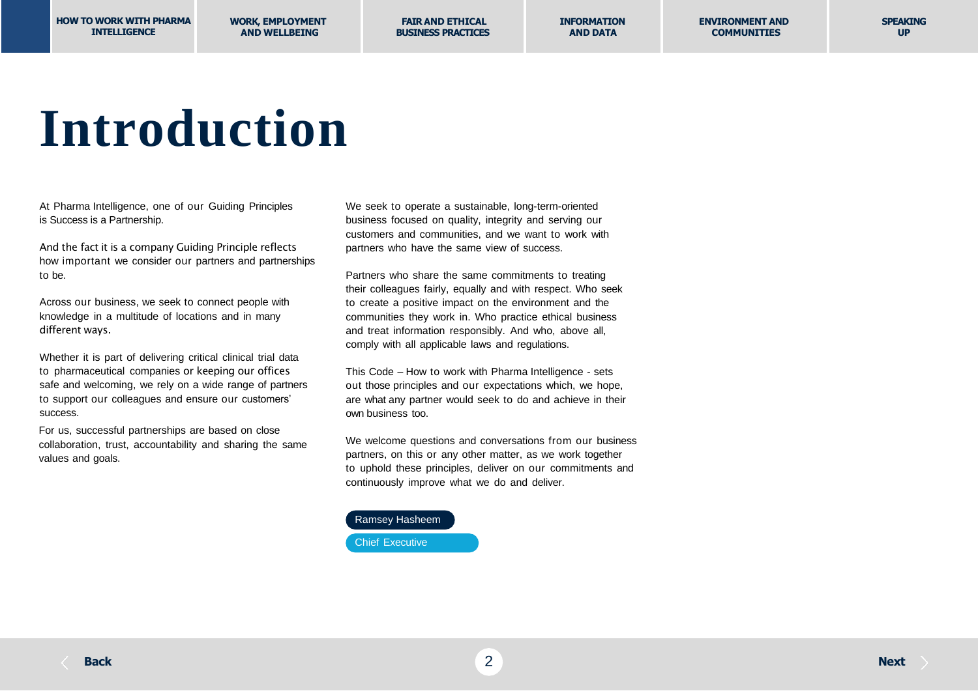### **Introduction**

At Pharma Intelligence, one of our Guiding Principles is Success is a Partnership.

And the fact it is a company Guiding Principle reflects how important we consider our partners and partnerships to be.

Across our business, we seek to connect people with knowledge in a multitude of locations and in many different ways.

Whether it is part of delivering critical clinical trial data to pharmaceutical companies or keeping our offices safe and welcoming, we rely on a wide range of partners to support our colleagues and ensure our customers' success.

For us, successful partnerships are based on close collaboration, trust, accountability and sharing the same values and goals.

We seek to operate a sustainable, long-term-oriented business focused on quality, integrity and serving our customers and communities, and we want to work with partners who have the same view of success.

Partners who share the same commitments to treating their colleagues fairly, equally and with respect. Who seek to create a positive impact on the environment and the communities they work in. Who practice ethical business and treat information responsibly. And who, above all, comply with all applicable laws and regulations.

This Code – How to work with Pharma Intelligence - sets out those principles and our expectations which, we hope, are what any partner would seek to do and achieve in their own business too.

We welcome questions and conversations from our business partners, on this or any other matter, as we work together to uphold these principles, deliver on our commitments and continuously improve what we do and deliver.

#### Ramsey Hasheem

Chief Executive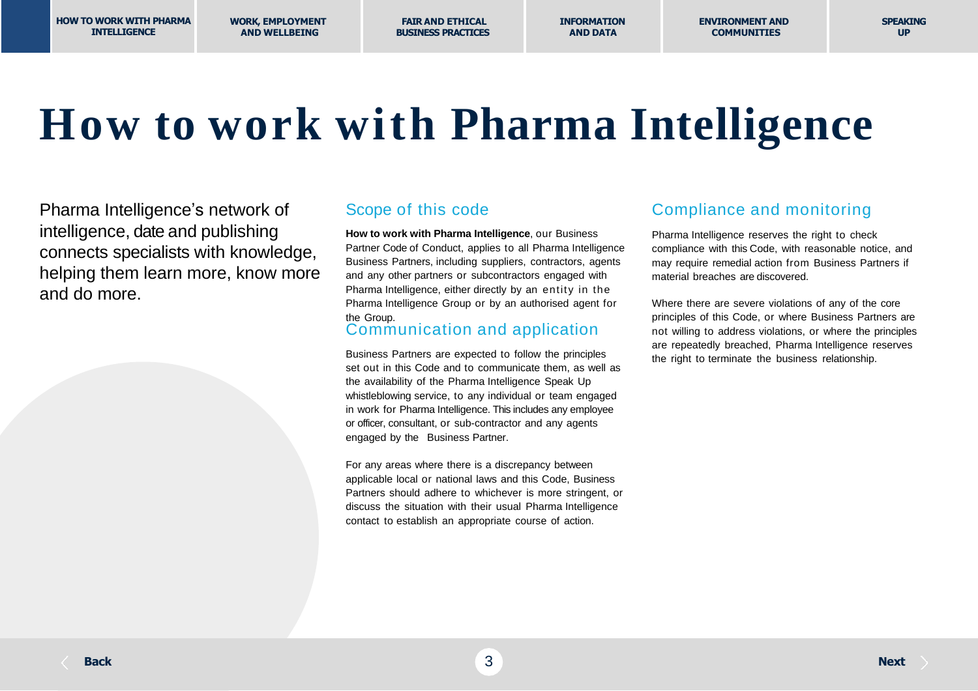**WORK, EMPLOYMENT AND WELLBEING**

**FAIR AND ETHICAL BUSINESS PRACTICES** **INFORMATION AND DATA**

### **How to work with Pharma Intelligence**

Pharma Intelligence's network of intelligence, date and publishing connects specialists with knowledge, helping them learn more, know more and do more.

#### Scope of this code

**How to work with Pharma Intelligence**, our Business Partner Code of Conduct, applies to all Pharma Intelligence Business Partners, including suppliers, contractors, agents and any other partners or subcontractors engaged with Pharma Intelligence, either directly by an entity in the Pharma Intelligence Group or by an authorised agent for the Group.

#### Communication and application

Business Partners are expected to follow the principles set out in this Code and to communicate them, as well as the availability of the Pharma Intelligence Speak Up whistleblowing service, to any individual or team engaged in work for Pharma Intelligence. This includes any employee or officer, consultant, or sub-contractor and any agents engaged by the Business Partner.

For any areas where there is a discrepancy between applicable local or national laws and this Code, Business Partners should adhere to whichever is more stringent, or discuss the situation with their usual Pharma Intelligence contact to establish an appropriate course of action.

#### Compliance and monitoring

Pharma Intelligence reserves the right to check compliance with this Code, with reasonable notice, and may require remedial action from Business Partners if material breaches are discovered.

Where there are severe violations of any of the core principles of this Code, or where Business Partners are not willing to address violations, or where the principles are repeatedly breached, Pharma Intelligence reserves the right to terminate the business relationship.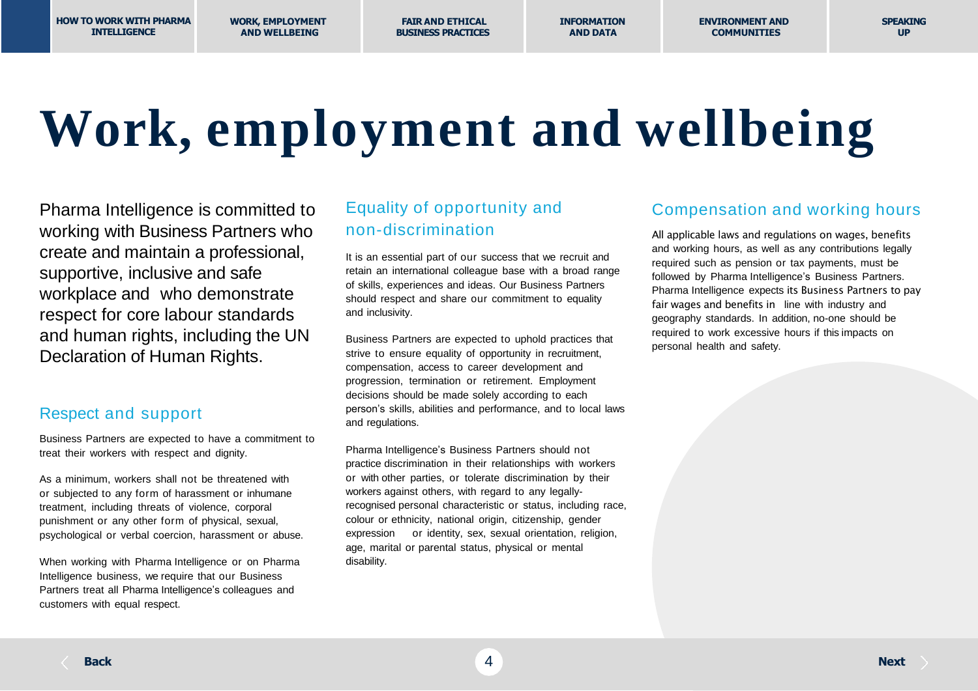**FAIR AND ETHICAL BUSINESS PRACTICES** **INFORMATION AND DATA**

# **Work, employment and wellbeing**

Pharma Intelligence is committed to working with Business Partners who create and maintain a professional, supportive, inclusive and safe workplace and who demonstrate respect for core labour standards and human rights, including the UN Declaration of Human Rights.

#### Respect and support

Business Partners are expected to have a commitment to treat their workers with respect and dignity.

As a minimum, workers shall not be threatened with or subjected to any form of harassment or inhumane treatment, including threats of violence, corporal punishment or any other form of physical, sexual, psychological or verbal coercion, harassment or abuse.

When working with Pharma Intelligence or on Pharma Intelligence business, we require that our Business Partners treat all Pharma Intelligence's colleagues and customers with equal respect.

#### Equality of opportunity and non-discrimination

It is an essential part of our success that we recruit and retain an international colleague base with a broad range of skills, experiences and ideas. Our Business Partners should respect and share our commitment to equality and inclusivity.

Business Partners are expected to uphold practices that strive to ensure equality of opportunity in recruitment, compensation, access to career development and progression, termination or retirement. Employment decisions should be made solely according to each person's skills, abilities and performance, and to local laws and regulations.

Pharma Intelligence's Business Partners should not practice discrimination in their relationships with workers or with other parties, or tolerate discrimination by their workers against others, with regard to any legallyrecognised personal characteristic or status, including race, colour or ethnicity, national origin, citizenship, gender expression or identity, sex, sexual orientation, religion, age, marital or parental status, physical or mental disability.

#### Compensation and working hours

All applicable laws and regulations on wages, benefits and working hours, as well as any contributions legally required such as pension or tax payments, must be followed by Pharma Intelligence's Business Partners. Pharma Intelligence expects its Business Partners to pay fair wages and benefits in line with industry and geography standards. In addition, no-one should be required to work excessive hours if this impacts on personal health and safety.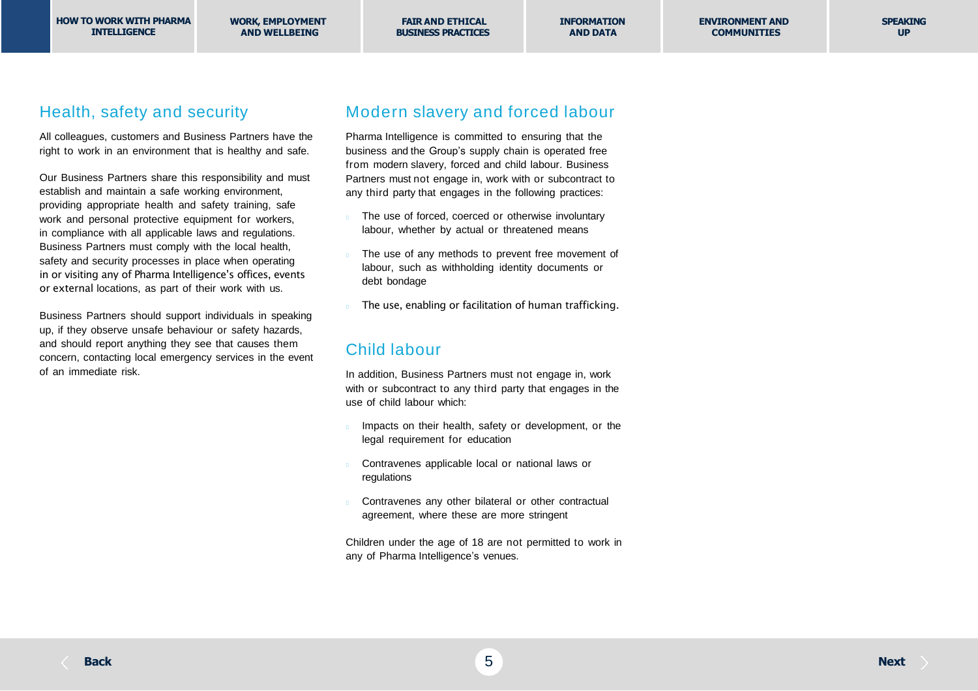**INFORMATION AND DATA**

#### Health, safety and security

All colleagues, customers and Business Partners have the right to work in an environment that is healthy and safe.

Our Business Partners share this responsibility and must establish and maintain a safe working environment, providing appropriate health and safety training, safe work and personal protective equipment for workers, in compliance with all applicable laws and regulations. Business Partners must comply with the local health, safety and security processes in place when operating in or visiting any of Pharma Intelligence's offices, events or external locations, as part of their work with us.

Business Partners should support individuals in speaking up, if they observe unsafe behaviour or safety hazards, and should report anything they see that causes them concern, contacting local emergency services in the event of an immediate risk.

#### Modern slavery and forced labour

Pharma Intelligence is committed to ensuring that the business and the Group's supply chain is operated free from modern slavery, forced and child labour. Business Partners must not engage in, work with or subcontract to any third party that engages in the following practices:

- The use of forced, coerced or otherwise involuntary labour, whether by actual or threatened means
- The use of any methods to prevent free movement of labour, such as withholding identity documents or debt bondage
- The use, enabling or facilitation of human trafficking.

#### Child labour

In addition, Business Partners must not engage in, work with or subcontract to any third party that engages in the use of child labour which:

- Impacts on their health, safety or development, or the legal requirement for education
- Contravenes applicable local or national laws or regulations
- Contravenes any other bilateral or other contractual agreement, where these are more stringent

Children under the age of 18 are not permitted to work in any of Pharma Intelligence's venues.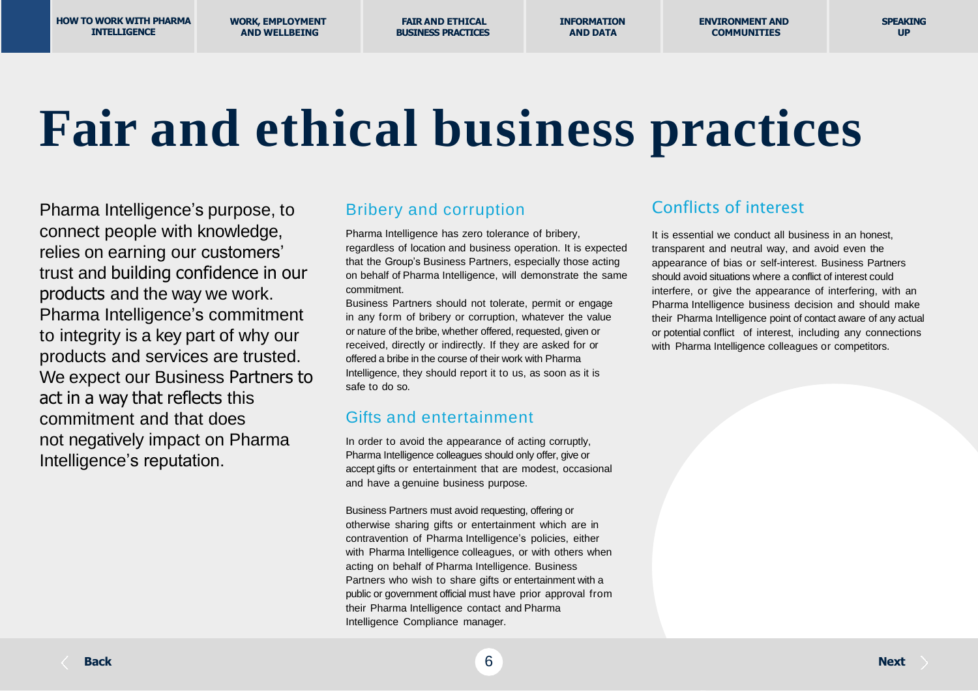**HOW TO WORK WITH PHARMA INTELLIGENCE**

**WORK, EMPLOYMENT AND WELLBEING**

**FAIR AND ETHICAL BUSINESS PRACTICES** **INFORMATION AND DATA**

**ENVIRONMENT AND COMMUNITIES**

### **Fair and ethical business practices**

Pharma Intelligence's purpose, to connect people with knowledge, relies on earning our customers' trust and building confidence in our products and the way we work. Pharma Intelligence's commitment to integrity is a key part of why our products and services are trusted. We expect our Business Partners to act in a way that reflects this commitment and that does not negatively impact on Pharma Intelligence's reputation.

#### Bribery and corruption

Pharma Intelligence has zero tolerance of bribery, regardless of location and business operation. It is expected that the Group's Business Partners, especially those acting on behalf of Pharma Intelligence, will demonstrate the same commitment.

Business Partners should not tolerate, permit or engage in any form of bribery or corruption, whatever the value or nature of the bribe, whether offered, requested, given or received, directly or indirectly. If they are asked for or offered a bribe in the course of their work with Pharma Intelligence, they should report it to us, as soon as it is safe to do so.

#### Gifts and entertainment

In order to avoid the appearance of acting corruptly, Pharma Intelligence colleagues should only offer, give or accept gifts or entertainment that are modest, occasional and have a genuine business purpose.

Business Partners must avoid requesting, offering or otherwise sharing gifts or entertainment which are in contravention of Pharma Intelligence's policies, either with Pharma Intelligence colleagues, or with others when acting on behalf of Pharma Intelligence. Business Partners who wish to share gifts or entertainment with a public or government official must have prior approval from their Pharma Intelligence contact and Pharma Intelligence Compliance manager.

#### Conflicts of interest

It is essential we conduct all business in an honest, transparent and neutral way, and avoid even the appearance of bias or self-interest. Business Partners should avoid situations where a conflict of interest could interfere, or give the appearance of interfering, with an Pharma Intelligence business decision and should make their Pharma Intelligence point of contact aware of any actual or potential conflict of interest, including any connections with Pharma Intelligence colleagues or competitors.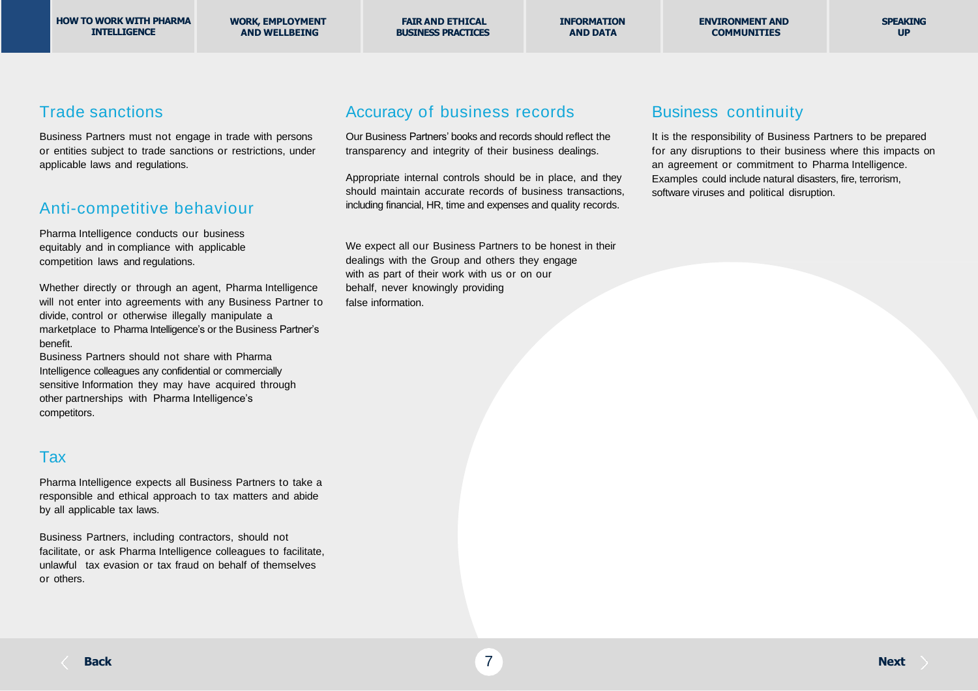**INFORMATION AND DATA**

**SPEAKING UP**

#### Trade sanctions

Business Partners must not engage in trade with persons or entities subject to trade sanctions or restrictions, under applicable laws and regulations.

#### Anti-competitive behaviour

Pharma Intelligence conducts our business equitably and in compliance with applicable competition laws and regulations.

Whether directly or through an agent, Pharma Intelligence will not enter into agreements with any Business Partner to divide, control or otherwise illegally manipulate a marketplace to Pharma Intelligence's or the Business Partner's benefit.

Business Partners should not share with Pharma Intelligence colleagues any confidential or commercially sensitive Information they may have acquired through other partnerships with Pharma Intelligence's competitors.

#### Tax

Pharma Intelligence expects all Business Partners to take a responsible and ethical approach to tax matters and abide by all applicable tax laws.

Business Partners, including contractors, should not facilitate, or ask Pharma Intelligence colleagues to facilitate, unlawful tax evasion or tax fraud on behalf of themselves or others.

#### Accuracy of business records

Our Business Partners' books and records should reflect the transparency and integrity of their business dealings.

Appropriate internal controls should be in place, and they should maintain accurate records of business transactions, including financial, HR, time and expenses and quality records.

We expect all our Business Partners to be honest in their dealings with the Group and others they engage with as part of their work with us or on our behalf, never knowingly providing false information.

#### Business continuity

It is the responsibility of Business Partners to be prepared for any disruptions to their business where this impacts on an agreement or commitment to Pharma Intelligence. Examples could include natural disasters, fire, terrorism, software viruses and political disruption.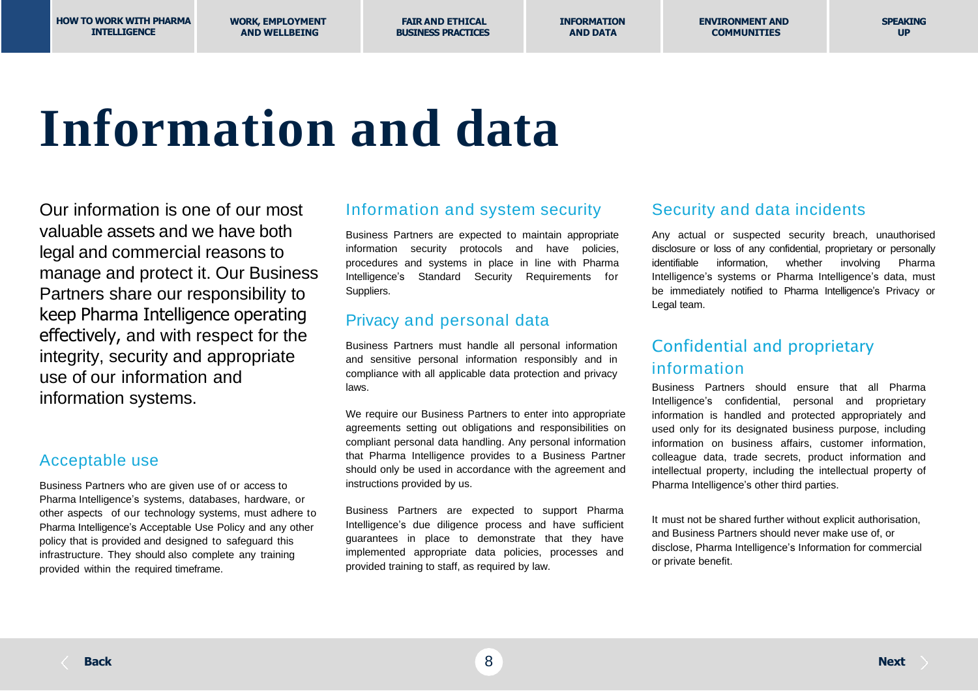**WORK, EMPLOYMENT AND WELLBEING**

**FAIR AND ETHICAL BUSINESS PRACTICES** **INFORMATION AND DATA**

## **Information and data**

Our information is one of our most valuable assets and we have both legal and commercial reasons to manage and protect it. Our Business Partners share our responsibility to keep Pharma Intelligence operating effectively, and with respect for the integrity, security and appropriate use of our information and information systems.

#### Acceptable use

Business Partners who are given use of or access to Pharma Intelligence's systems, databases, hardware, or other aspects of our technology systems, must adhere to Pharma Intelligence's Acceptable Use Policy and any other policy that is provided and designed to safeguard this infrastructure. They should also complete any training provided within the required timeframe.

#### Information and system security

Business Partners are expected to maintain appropriate information security protocols and have policies, procedures and systems in place in line with Pharma Intelligence's Standard Security Requirements for Suppliers.

#### Privacy and personal data

Business Partners must handle all personal information and sensitive personal information responsibly and in compliance with all applicable data protection and privacy laws.

We require our Business Partners to enter into appropriate agreements setting out obligations and responsibilities on compliant personal data handling. Any personal information that Pharma Intelligence provides to a Business Partner should only be used in accordance with the agreement and instructions provided by us.

Business Partners are expected to support Pharma Intelligence's due diligence process and have sufficient guarantees in place to demonstrate that they have implemented appropriate data policies, processes and provided training to staff, as required by law.

#### Security and data incidents

Any actual or suspected security breach, unauthorised disclosure or loss of any confidential, proprietary or personally identifiable information, whether involving Pharma Intelligence's systems or Pharma Intelligence's data, must be immediately notified to Pharma Intelligence's Privacy or Legal team.

#### Confidential and proprietary information

Business Partners should ensure that all Pharma Intelligence's confidential, personal and proprietary information is handled and protected appropriately and used only for its designated business purpose, including information on business affairs, customer information, colleague data, trade secrets, product information and intellectual property, including the intellectual property of Pharma Intelligence's other third parties.

It must not be shared further without explicit authorisation, and Business Partners should never make use of, or disclose, Pharma Intelligence's Information for commercial or private benefit.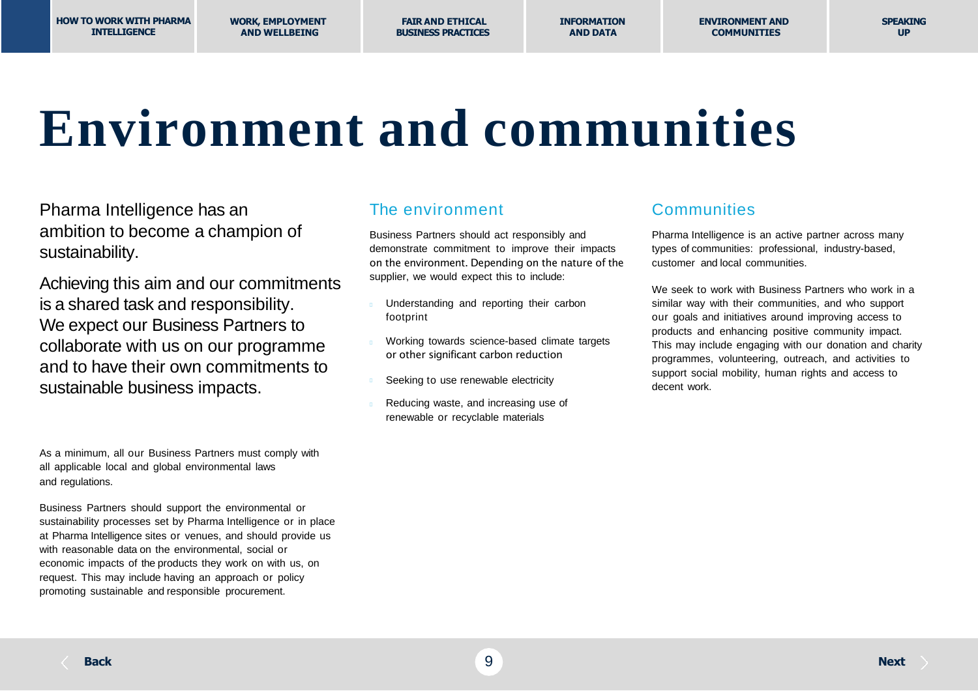### **Environment and communities**

Pharma Intelligence has an ambition to become a champion of sustainability.

Achieving this aim and our commitments is a shared task and responsibility. We expect our Business Partners to collaborate with us on our programme and to have their own commitments to sustainable business impacts.

As a minimum, all our Business Partners must comply with all applicable local and global environmental laws and regulations.

Business Partners should support the environmental or sustainability processes set by Pharma Intelligence or in place at Pharma Intelligence sites or venues, and should provide us with reasonable data on the environmental, social or economic impacts of the products they work on with us, on request. This may include having an approach or policy promoting sustainable and responsible procurement.

#### The environment

Business Partners should act responsibly and demonstrate commitment to improve their impacts on the environment. Depending on the nature of the supplier, we would expect this to include:

- Understanding and reporting their carbon footprint
- Working towards science-based climate targets or other significant carbon reduction
- Seeking to use renewable electricity
- Reducing waste, and increasing use of renewable or recyclable materials

#### **Communities**

Pharma Intelligence is an active partner across many types of communities: professional, industry-based, customer and local communities.

We seek to work with Business Partners who work in a similar way with their communities, and who support our goals and initiatives around improving access to products and enhancing positive community impact. This may include engaging with our donation and charity programmes, volunteering, outreach, and activities to support social mobility, human rights and access to decent work.